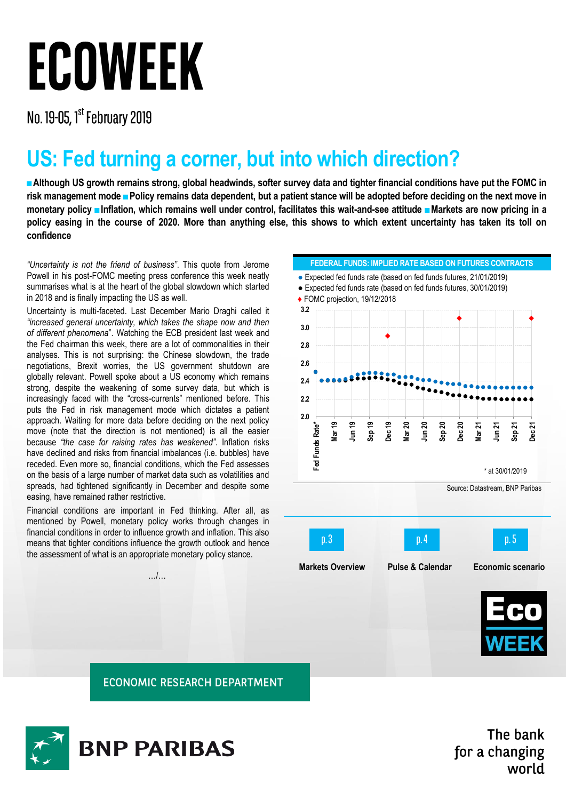## **ECOWEEK**

No. 19-05, 1<sup>st</sup> February 2019

## **US: Fed turning a corner, but into which direction?**

**■Although US growth remains strong, global headwinds, softer survey data and tighter financial conditions have put the FOMC in risk management mode ■Policy remains data dependent, but a patient stance will be adopted before deciding on the next move in monetary policy ■Inflation, which remains well under control, facilitates this wait-and-see attitude ■Markets are now pricing in a policy easing in the course of 2020. More than anything else, this shows to which extent uncertainty has taken its toll on confidence**

*"Uncertainty is not the friend of business"*. This quote from Jerome Powell in his post-FOMC meeting press conference this week neatly summarises what is at the heart of the global slowdown which started in 2018 and is finally impacting the US as well.

Uncertainty is multi-faceted. Last December Mario Draghi called it *"increased general uncertainty, which takes the shape now and then of different phenomena*". Watching the ECB president last week and the Fed chairman this week, there are a lot of commonalities in their analyses. This is not surprising: the Chinese slowdown, the trade negotiations, Brexit worries, the US government shutdown are globally relevant. Powell spoke about a US economy which remains strong, despite the weakening of some survey data, but which is increasingly faced with the "cross-currents" mentioned before. This puts the Fed in risk management mode which dictates a patient approach. Waiting for more data before deciding on the next policy move (note that the direction is not mentioned) is all the easier because *"the case for raising rates has weakened"*. Inflation risks have declined and risks from financial imbalances (i.e. bubbles) have receded. Even more so, financial conditions, which the Fed assesses on the basis of a large number of market data such as volatilities and spreads, had tightened significantly in December and despite some easing, have remained rather restrictive.

Financial conditions are important in Fed thinking. After all, as mentioned by Powell, monetary policy works through changes in financial conditions in order to influence growth and inflation. This also means that tighter conditions influence the growth outlook and hence the assessment of what is an appropriate monetary policy stance.

…/…



**ECONOMIC RESEARCH DEPARTMENT** 



The bank for a changing world